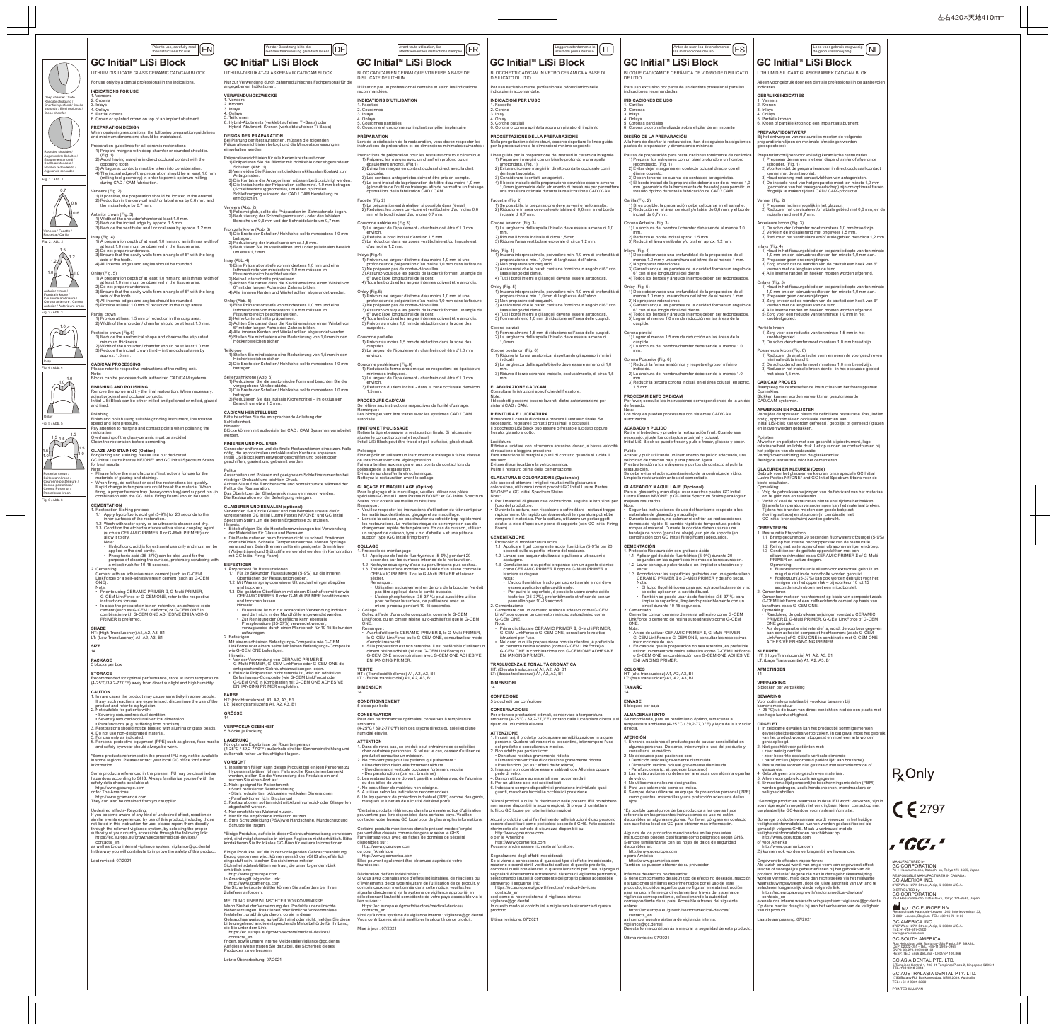|                                                                                                | Antes de usar, lea detenidamente<br>ES                                                                                                                                                   | Lees voor gebruik zorgvuldig<br>Nl                                                                                                                                                                                                                              |  |  |  |  |  |  |
|------------------------------------------------------------------------------------------------|------------------------------------------------------------------------------------------------------------------------------------------------------------------------------------------|-----------------------------------------------------------------------------------------------------------------------------------------------------------------------------------------------------------------------------------------------------------------|--|--|--|--|--|--|
| GC Initial™ LiSi Block                                                                         | las instrucciones de uso.                                                                                                                                                                | de gebruiksaanwijzing.<br>GC Initial™ LiSi Block                                                                                                                                                                                                                |  |  |  |  |  |  |
|                                                                                                | BLOQUE CAD/CAM DE CERÁMICA DE VIDRIO DE DISILICATO                                                                                                                                       | LITHIUM DISILICAAT GLASKERAMIEK CAD/CAM BLOK                                                                                                                                                                                                                    |  |  |  |  |  |  |
| DE LITIO                                                                                       | Para uso exclusivo por parte de un dentista profesional para las                                                                                                                         | Alleen voor gebruik door een dentale professional in de aanbevolen<br>indicaties.                                                                                                                                                                               |  |  |  |  |  |  |
| indicaciones recomendadas.                                                                     |                                                                                                                                                                                          | <b>GEBRUIKSINDICATIES</b>                                                                                                                                                                                                                                       |  |  |  |  |  |  |
| <b>INDICACIONES DE USO</b><br>1. Carillas<br>2. Coronas                                        |                                                                                                                                                                                          | 1. Veneers<br>2. Kronen<br>3. Inlays                                                                                                                                                                                                                            |  |  |  |  |  |  |
| 3. Inlays<br>4. Onlays<br>5. Coronas parciales                                                 |                                                                                                                                                                                          | 4. Onlays<br>5. Partiële kronen<br>6. Kroon of partiële kroon op een implantaatabutment                                                                                                                                                                         |  |  |  |  |  |  |
|                                                                                                | 6. Corona o corona ferulizada sobre el pilar de un implante                                                                                                                              | <b>PREPARATIEONTWERP</b>                                                                                                                                                                                                                                        |  |  |  |  |  |  |
| DISEÑO DE LA PREPARACIÓN<br>pautas de preparación y dimensiones mínimas:                       | A la hora de diseñar la restauración, han de seguirse las siguientes                                                                                                                     | Bij het ontwerpen van restauraties moeten de volgende<br>preparatierichtlijnen en minimale afmetingen worden<br>gerespecteerd:                                                                                                                                  |  |  |  |  |  |  |
|                                                                                                | Pautas de preparación para restauraciones totalmente de cerámica                                                                                                                         | Preparatierichtlijnen voor volledig keramische restauraties                                                                                                                                                                                                     |  |  |  |  |  |  |
| redondeado. (Fig. 1)                                                                           | 1) Preparar los márgenes con un bisel profundo o un hombro<br>2) Evitar dejar márgenes en contacto oclusal directo con el                                                                | 1) Prepareer de marges met een diepe chamfer of afgeronde<br>schouder. (Fig. 1)<br>2) Voorkom dat de preparatieranden in direct occlusaal contact                                                                                                               |  |  |  |  |  |  |
| diente opuesto.                                                                                | 3) Deben tenerse en cuenta los contactos antagonistas.<br>4) El borde incisal de la preparación debería ser de al menos 1,0                                                              | komen met de antagonist.<br>3) Houd rekening met contactvlakken van antagonisten.<br>4) De incisale rand van het preparatie moet ten minste 1,0 mm                                                                                                              |  |  |  |  |  |  |
|                                                                                                | mm (geometría de la herramienta de fresado) para permitir un<br>fresado óptimo durante la fabricación de CAD / CAM.                                                                      | (geometrie van het freesgereedschap) zijn om optimaal frezen<br>mogelijk te maken tijdens CAD / CAM-productie.                                                                                                                                                  |  |  |  |  |  |  |
| Carilla (Fig. 2)                                                                               | 1) Si es posible, la preparación debe colocarse en el esmalte.                                                                                                                           | Veneer (Fig. 2)<br>1) Prepareer indien mogelijk in het glazuur.                                                                                                                                                                                                 |  |  |  |  |  |  |
| incisal de 0,7 mm.                                                                             | 2) Reducción en el área cervical y/o labial de 0,6 mm, y el borde                                                                                                                        | 2) Reduceer het cervicale en/of labiale gebied met 0,6 mm, en de<br>incisale rand met 0,7 mm.                                                                                                                                                                   |  |  |  |  |  |  |
| Corona Anterior (Fig. 3)                                                                       | 1) La anchura del hombro / chamfer debe ser de al menos 1.0                                                                                                                              | Anterieure kroon (Fig. 3)<br>1) De schouder / chamfer moet minstens 1,0 mm breed zijn.                                                                                                                                                                          |  |  |  |  |  |  |
| mm.<br>2) Reduzca el borde incisal aprox. 1.5 mm                                               | 3) Reducir el área vestibular y/u oral en aprox. 1,2 mm.                                                                                                                                 | 2) Verklein de incisale rand met ongeveer 1,5 mm.<br>3) Reduceer het vestibulaire en/of orale gebied met circa 1,2 mm.                                                                                                                                          |  |  |  |  |  |  |
| Inlays (Fig. 4)                                                                                |                                                                                                                                                                                          | Inlays (Fig. 4)<br>1) Houd in het fissuurgebied een preparatiediepte van ten minste                                                                                                                                                                             |  |  |  |  |  |  |
| 2) No preparar retenciones.                                                                    | 1) Debe observarse una profundidad de la preparación de al<br>menos 1.0 mm y una anchura del istmo de al menos 1 mm.                                                                     | 1,0 mm en een istmusbreedte van ten minste 1,0 mm aan.<br>2) Prepareer geen ondersnijdingen.<br>3) Zorg ervoor dat de wanden van de caviteit een hoek van 6°<br>vormen met de lengteas van de tand.<br>4) Alle interne randen en hoeken moeten worden afgerond. |  |  |  |  |  |  |
| 6° con el eje longitudinal del diente.                                                         | 3) Garantizar que las paredes de la cavidad forman un ángulo de                                                                                                                          |                                                                                                                                                                                                                                                                 |  |  |  |  |  |  |
| Onlay (Fig. 5)                                                                                 | 4) Todos los bordes y ángulos internos deben ser redondeados.                                                                                                                            | Onlays (Fig. 5)<br>1) Houd in het fissuurgebied een preparatiediepte van ten minste                                                                                                                                                                             |  |  |  |  |  |  |
| 2) No preparar retenciones.                                                                    | 1) Debe observarse una profundidad de la preparación de al<br>menos 1.0 mm y una anchura del istmo de al menos 1 mm.                                                                     | 1,0 mm en een istmusbreedte van ten minste 1,0 mm aan.<br>2) Prepareer geen ondersnijdingen.<br>3) Zorg ervoor dat de wanden van de caviteit een hoek van 6°                                                                                                    |  |  |  |  |  |  |
| 6° con el eje longitudinal del diente.                                                         | 3) Garantizar que las paredes de la cavidad forman un ángulo de                                                                                                                          | vormen met de lengteas van de tand.<br>4) Alle interne randen en hoeken moeten worden afgerond.                                                                                                                                                                 |  |  |  |  |  |  |
| cúspide.                                                                                       | 4) Todos los bordes y ángulos internos deben ser redondeados.<br>5) Lograr al menos 1.0 mm de reducción en las áreas de la                                                               | 5) Zorg voor een reductie van ten minste 1,0 mm in het<br>knobbelgebied.                                                                                                                                                                                        |  |  |  |  |  |  |
| Corona parcial                                                                                 |                                                                                                                                                                                          | Partiële kroon<br>1) Zorg voor een reductie van ten minste 1,5 mm in het                                                                                                                                                                                        |  |  |  |  |  |  |
| cúspide.                                                                                       | 1) Lograr al menos 1.5 mm de reducción en las áreas de la<br>2) La anchura del hombro/chamfer debe ser de al menos 1.0                                                                   | knobbelgebied.<br>2) De schouder/chamfer moet minstens 1,0 mm breed zijn.                                                                                                                                                                                       |  |  |  |  |  |  |
| mm.<br>Corona Posterior (Fig. 6)                                                               |                                                                                                                                                                                          | Posterieure kroon (Fig. 6)<br>1) Reduceer de anatomische vorm en neem de voorgeschreven<br>minimale dikte in acht.                                                                                                                                              |  |  |  |  |  |  |
| indicado.                                                                                      | 1) Reducir la forma anatómica y respete el grosor mínimo                                                                                                                                 | 2) De schouder/chamfer moet minstens 1,0 mm breed zijn.<br>3) Reduceer het incisale kroon derde - in het occlusale gebied -                                                                                                                                     |  |  |  |  |  |  |
| mm.                                                                                            | 2) La anchura del hombro/chamfer debe ser de al menos 1.0<br>3) Reducir la tercera corona incisal, en el área oclusal, en aprox.                                                         | met circa 1,5 mm.<br><b>CAD/CAM PROCES</b>                                                                                                                                                                                                                      |  |  |  |  |  |  |
| 1.5 mm.                                                                                        |                                                                                                                                                                                          | Raadpleeg de desbetreffende instructies van het freesapparaat.<br>Opmerking:                                                                                                                                                                                    |  |  |  |  |  |  |
| PROCESAMIENTO CAD/CAM<br>de fresado.                                                           | Por favor, consulte las instrucciones correspondientes de la unidad                                                                                                                      | Blokken kunnen worden verwerkt met geautoriseerde<br>CAD/CAM-systemen.                                                                                                                                                                                          |  |  |  |  |  |  |
| Nota:<br>autorizados.                                                                          | Los bloques pueden procesarse con sistemas CAD/CAM                                                                                                                                       | AFWERKEN EN POLIJSTEN<br>Verwijder de spruw en plaats de definitieve restauratie. Pas, indien<br>nodig, approximale en occlusale contacten aan.                                                                                                                 |  |  |  |  |  |  |
| <b>ACABADO Y PULIDO</b>                                                                        |                                                                                                                                                                                          | Initial LiSi-blok kan worden gefreesd / gepolijst of gefreesd / glazen<br>en in oven worden gebakken.                                                                                                                                                           |  |  |  |  |  |  |
| necesario, ajuste los contactos proximal y oclusal.                                            | Retire el bebedero y pruebe la restauración final. Cuando sea<br>Initial LiSi Block se puede fresar y pulir o fresar, glasear y cocer.                                                   | Poliisten<br>Afwerken en polijsten met een geschikt slijpinstrument, lage                                                                                                                                                                                       |  |  |  |  |  |  |
| Pulido                                                                                         |                                                                                                                                                                                          | rotatiesnelheid en lichte druk. Let op randen en contactpunten bij<br>het poliisten van de restauratie.                                                                                                                                                         |  |  |  |  |  |  |
| velocidad de rotación baja y una presión ligera.                                               | Acabar y pulir utilizando un instrumento de pulido adecuado, una<br>Preste atención a los márgenes y puntos de contacto al pulir la                                                      | Vermijd oververhitting van de glaskeramiek.<br>Reinig de restauratie vóór het cementeren.                                                                                                                                                                       |  |  |  |  |  |  |
| restauración.<br>Limpie la restauración antes del cementado.                                   | Se debe evitar el sobrecalentamiento de la cerámica de vidrio.                                                                                                                           | <b>GLAZUREN EN KLEUREN (Optie)</b><br>Gebruik voor het glazuren en kleuren, onze speciale GC Initial<br>Lustre Pastes NF/ONE* and GC Initial Spectrum Stains voor de                                                                                            |  |  |  |  |  |  |
| <b>GLASEADO Y MAQUILLAJE (Opcional)</b>                                                        |                                                                                                                                                                                          | beste resultaten.<br>Opmerking:                                                                                                                                                                                                                                 |  |  |  |  |  |  |
| mejores resultados.                                                                            | Para el glaseado y maquillaje, usar nuestras pastas GC Initial<br>Lustre Pastes NF/ONE* y GC Initial Spectrum Stains para lograr                                                         | Volg de gebruiksaanwijzingen van de fabrikant van het materiaal<br>om te glazuren en te kleuren.<br>Verhit of koel de restauraties niet te snel tijdens het bakken.                                                                                             |  |  |  |  |  |  |
| Nota:                                                                                          | Seguir las instrucciones de uso del fabricante respecto a los                                                                                                                            | Bij snelle temperatuurveranderingen kan het materiaal breken.<br>Tijdens het branden moeten een goede bakplaat                                                                                                                                                  |  |  |  |  |  |  |
| materiales de glaseado y maquillaje.                                                           | Durante la cocción, no calentar ni enfriar las restauraciones<br>demasiado rápido. El cambio rápido de temperatura podría                                                                | (honingraatlade) en steunpen (in combinatie met<br>GC Initial-brandschuim) worden gebruikt.                                                                                                                                                                     |  |  |  |  |  |  |
|                                                                                                | romper el material. Durante la cocción deben usarse una<br>bandeja de horno (panal de abeja) y un pin de soporte (en<br>combinación con GC Initial Firing Foam) adecuados.               | <b>CEMENTEREN</b><br>1. Restauratie Etsprotocol<br>1.1 Breng gedurende 20 seconden fluorwaterstofzuurgel (5-9%)                                                                                                                                                 |  |  |  |  |  |  |
| <b>CEMENTACIÓN</b>                                                                             |                                                                                                                                                                                          | aan op het interne hechtoppervlak van de restauratie.<br>1.2 Reinig met waterspray of een ultrasone reiniger en droog.                                                                                                                                          |  |  |  |  |  |  |
| 1. Protocolo Restauración con grabado ácido                                                    | 1.1 Aplicar gel de ácido fluorhídrico (5-9%) durante 20<br>segundos en las superficies internas de la restauración.                                                                      | 1.3 Conditioneer de geëtste oppervlakken met een<br>silaanhechtmiddel zoals CERAMIC PRIMER II of G-Multi<br>PRIMER en laat ze drogen.                                                                                                                           |  |  |  |  |  |  |
| secar.                                                                                         | 1.2 Lavar con agua pulverizada o un limpiador ultrasónico y<br>1.3 Acondicionar las superficies grabadas con un agente silano                                                            | Opmerking:<br>· Fluorwaterstofzuur is alleen voor extraoraal gebruik en<br>mag dus niet in de mondholte worden gebruikt.                                                                                                                                        |  |  |  |  |  |  |
| Nota:                                                                                          | CERAMIC PRIMER II o G-Multi PRIMER y dejarlo secar.                                                                                                                                      | Fosforzuur (35-37%) kan ook worden gebruikt voor het<br>reinigen van het oppervlak - bij voorkeur 10 tot 15                                                                                                                                                     |  |  |  |  |  |  |
|                                                                                                | El ácido fluorhídrico es para uso extraoral solamente y no<br>se debe aplicar en la cavidad bucal.<br>También se puede usar ácido fosfórico (35-37 %) para                               | seconden schrobben met een microborstel.<br>2. Cementeren<br>Cementeer met een hechtcement op basis van composiet zoals                                                                                                                                         |  |  |  |  |  |  |
| pincel durante 10-15 segundos.<br>2. Cementado                                                 | limpiar la superficie, limpiando preferiblemente con un                                                                                                                                  | G-CEM LinkForce of een zelfhechtende cement op basis van<br>kunsthars zoals G-CEM ONE.<br>Opmerking:                                                                                                                                                            |  |  |  |  |  |  |
|                                                                                                | Cementar con un cemento de resina adhesivo como G-CEM<br>LinkForce o cemento de resina autoadhesivo como G-CEM                                                                           | Raadpleeg de gebruiksaanwijzingen voordat u CERAMIC<br>PRIMER II, G-Multi PRIMER, G-CEM LinkForce of G-CEM                                                                                                                                                      |  |  |  |  |  |  |
| ONE.<br>Nota:                                                                                  | Antes de utilizar CERAMIC PRIMER II, G-Multi PRIMER,                                                                                                                                     | ONE gebruikt.<br>· Als de preparatie niet retentief is, wordt de voorkeur gegeven<br>aan een adhesief composiet hechtcement (zoals G-CEM                                                                                                                        |  |  |  |  |  |  |
| instrucciones de uso.                                                                          | G-CEM LinkForce o G-CEM ONE, consultar las respectivas                                                                                                                                   | LinkForce) of G-CEM ONE in combinatie met G-CEM ONE<br>ADHESIVE ENHANCING PRIMER.                                                                                                                                                                               |  |  |  |  |  |  |
|                                                                                                | En caso de que la preparación no sea retentiva, es preferible<br>utilizar un cemento de resina adhesivo (como G-CEM LinkForce)<br>o G-CEM ONE en combinación con G-CEM ONE ADHESIVE      | <b>KLEUREN</b><br>HT: (Hoge Translucentie) A1, A2, A3, B1                                                                                                                                                                                                       |  |  |  |  |  |  |
| <b>ENHANCING PRIMER.</b><br><b>COLORES</b>                                                     |                                                                                                                                                                                          | LT: (Lage Translucentie) A1, A2, A3, B1<br><b>AFMETINGEN</b>                                                                                                                                                                                                    |  |  |  |  |  |  |
| HT: (alta translucidez) A1, A2, A3, B1<br>LT: (baja translucidez) A1, A2, A3, B1               |                                                                                                                                                                                          | 14                                                                                                                                                                                                                                                              |  |  |  |  |  |  |
| <b>TAMAÑO</b><br>14                                                                            |                                                                                                                                                                                          | VERPAKKING<br>5 blokken per verpakking                                                                                                                                                                                                                          |  |  |  |  |  |  |
| <b>ENVASE</b><br>5 bloques por caja                                                            |                                                                                                                                                                                          | <b>BEWARING</b><br>Voor optimale prestaties bij voorkeur bewaren bij<br>kamertemperatuur                                                                                                                                                                        |  |  |  |  |  |  |
| <b>ALMACENAMIENTO</b>                                                                          |                                                                                                                                                                                          | (4-25 °C) uit de buurt van direct zonlicht en niet op een plaats met<br>een hoge luchtvochtigheid.                                                                                                                                                              |  |  |  |  |  |  |
| directa.                                                                                       | Se recomienda, para un rendimiento óptimo, almacenar a<br>temperatura ambiente (4-25 °C / 39,2-77,0 °F) y lejos de la luz solar                                                          | <b>OPGELET</b><br>1. In zeldzame gevallen kan het product bij sommige mensen                                                                                                                                                                                    |  |  |  |  |  |  |
| <b>ATENCIÓN</b>                                                                                |                                                                                                                                                                                          | gevoeligheidsreacties veroorzaken. In dat geval moet het gebruik<br>van het product worden stopgezet en moet een arts worden                                                                                                                                    |  |  |  |  |  |  |
| consultar a un médico.                                                                         | 1. En raras ocasiones el producto puede causar sensibilidad en<br>algunas personas. De darse, interrumpir el uso del producto y                                                          | geraadpleegd.<br>2. Niet geschikt voor patiënten met:<br>• zeer weinig dentitie                                                                                                                                                                                 |  |  |  |  |  |  |
| 2. No adecuado para pacientes con:<br>• Dentición residual gravemente disminuida               | · Dimensión vertical oclusal gravemente disminuida                                                                                                                                       | * zeer beperkte occlusale verticale dimensie<br>· parafuncties (bijvoorbeeld patiënt lijdt aan bruxisme)<br>3. Restauraties worden niet gestraald met aluminiumoxide of                                                                                         |  |  |  |  |  |  |
| · Parafunciones (p. ej. padecer bruxismo)                                                      | 3. Las restauraciones no deben ser arenadas con alúmina o perlas                                                                                                                         | glasparels.<br>4. Gebruik geen onvoorgeschreven materiaal.<br>rχ                                                                                                                                                                                                |  |  |  |  |  |  |
| de vidrio.<br>4. No utilice materiales no designados.<br>5. Para uso solamente como se indica. |                                                                                                                                                                                          | 5. Alleen voor gebruik zoals aangegeven.<br>6. Er moeten altijd persoonlijke beschermingsmiddelen (PBM)<br>worden gedragen, zoals handschoenen, mondmaskers en                                                                                                  |  |  |  |  |  |  |
|                                                                                                | 6. Siempre debe utilizarse un equipo de protección personal (PPE)<br>como guantes, mascarillas y una protección adecuada de los                                                          | veiligheidsbrillen.                                                                                                                                                                                                                                             |  |  |  |  |  |  |
| ojos.                                                                                          | *Es posible que algunos de los productos a los que se hace                                                                                                                               | *Sommige producten waarnaar in deze IFU wordt verwezen, zijn in<br>sommige regio's mogelijk niet verkrijgbaar. Neem contact op met<br>uw plaatselijke GC-kantoor voor nadere informatie.                                                                        |  |  |  |  |  |  |
|                                                                                                | referencia en las presentes instrucciones de uso no estén<br>disponibles en algunas regiones. Por favor, póngase en contacto<br>con su oficina local de GC para obtener más información. | Sommige producten waarnaar wordt verwezen in het huidige<br>veiligheidsinformatieblad kunnen worden geclassificeerd als                                                                                                                                         |  |  |  |  |  |  |
|                                                                                                | Algunos de los productos mencionados en las presentes                                                                                                                                    | gevaarlijk volgens GHS. Maak u vertrouwd met de<br>veiligheidsinformatiebladen beschikbaar op:                                                                                                                                                                  |  |  |  |  |  |  |
| disponibles en:                                                                                | instrucciones pueden clasificarse como peligrosos según GHS.<br>Siempre familiarizarse con las hojas de datos de seguridad                                                               | http://www.gceurope.com<br>of voor Amerika<br>http://www.gcamerica.com                                                                                                                                                                                          |  |  |  |  |  |  |
| http://www.gceurope.com<br>o para América                                                      |                                                                                                                                                                                          | Zij kunnen ook worden verkregen bij uw leverancier.                                                                                                                                                                                                             |  |  |  |  |  |  |
| http://www.gcamerica.com<br>También se pueden obtener de su proveedor.                         |                                                                                                                                                                                          | Ongewenste effecten-rapporteren:<br>MANUF<br>Als u zich bewust wordt van enige vorm van ongewenst effect,<br>GC C<br>reactie of soortgelijke gebeurtenissen bij het gebruik van dit<br>76-1 Ha                                                                  |  |  |  |  |  |  |
| Informes de efectos no deseados:                                                               | Si tiene conocimiento de algún tipo de efecto no deseado, reacción<br>o situaciones similares experimentados por el uso de este                                                          | product, inclusief degene die niet in deze gebruiksaanwijzing<br><b>RESPO</b><br>worden vermeld, meld deze dan rechtstreeks via het relevante<br>GC A<br>waarschuwingssysteem, door de juiste autoriteit van uw land te                                         |  |  |  |  |  |  |
|                                                                                                | producto, incluidos aquellos que no figuran en esta instrucción<br>para su uso, infórmelos directamente a través del sistema de                                                          | 3737W<br>selecteren toegankelijk via de volgende link:<br><b>DISTRI</b><br>https://ec.europa.eu/growth/sectors/medical-devices/<br>GC C                                                                                                                         |  |  |  |  |  |  |
| enlace:                                                                                        | vigilancia correspondiente, seleccionando la autoridad<br>correspondiente de su país. Accesible a través del siguiente                                                                   | contacts_en<br>76-1 Ha<br>evenals ons interne waarschuwingssysteem: vigilance@gc.dental.<br>Op deze manier draagt u bij aan het verbeteren van de veiligheid<br>W E                                                                                             |  |  |  |  |  |  |
| contacts en<br>así como a nuestro sistema de vigilancia interna:                               | https://ec.europa.eu/growth/sectors/medical-devices/                                                                                                                                     | van dit product.<br>Resear<br>B-3001<br>Laatste aanpassing: 07/2021                                                                                                                                                                                             |  |  |  |  |  |  |
| vigilance@gc.dental                                                                            | De esta forma contribuirás a mejorar la seguridad de este producto.                                                                                                                      | GC A<br>3737W<br>$TEL: +1$                                                                                                                                                                                                                                      |  |  |  |  |  |  |

## Only

3737 West 127th Street, Alsip, IL 60803 U.S.A. RESPONSIBLE MANUFACTURER IN CANADA<br>GC AMERICA INC. DISTRIBUTED by<br>GC CORPORATION

|                                                                                         | $\boxed{\frac{\text{Prior to use, carefully read}}{\text{the instructions for use}}}$<br>the instructions for use.                                                                                             | Gebrauchsanweisung gründlich lesen!   DE                                                                                                                                                                                                       | $\frac{1}{\text{attention}} \underbrace{\text{function} \text{sum} \text{function}}_{\text{d} \text{t}} \underbrace{\text{function}}_{\text{d} \text{t}} \underbrace{\left  \left\{ \text{FR} \right\} \right }_{\text{t}}$ | Leggere attentamente le<br>IT<br>istruzioni prima dell'uso.                                                                                                                                                            | Antes de usar, lea detenidamente<br>[ES]<br>las instrucciones de uso.                                                                                                                         | Lees voor gebruik zorgvuldig   ML<br>de gebruiksaanwijzing.                                                                                                                                               |
|-----------------------------------------------------------------------------------------|----------------------------------------------------------------------------------------------------------------------------------------------------------------------------------------------------------------|------------------------------------------------------------------------------------------------------------------------------------------------------------------------------------------------------------------------------------------------|-----------------------------------------------------------------------------------------------------------------------------------------------------------------------------------------------------------------------------|------------------------------------------------------------------------------------------------------------------------------------------------------------------------------------------------------------------------|-----------------------------------------------------------------------------------------------------------------------------------------------------------------------------------------------|-----------------------------------------------------------------------------------------------------------------------------------------------------------------------------------------------------------|
|                                                                                         | GC Initial <sup>™</sup> LiSi Block<br>LITHIUM DISILICATE GLASS CERAMIC CAD/CAM BLOCK                                                                                                                           | GC Initial <sup>™</sup> LiSi Block<br>LITHIUM-DISILIKAT-GLASKERAMIK CAD/CAM BLOCK                                                                                                                                                              | GC Initial <sup>™</sup> LiSi Block<br>BLOC CAD/CAM EN CERAMIQUE VITREUSE A BASE DE                                                                                                                                          | <b>GC Initial™ LiSi Block</b><br>BLOCCHETTI CAD/CAM IN VETRO CERAMICA A BASE DI                                                                                                                                        | GC Initial™ LiSi Block<br>BLOQUE CAD/CAM DE CERÁMICA DE VIDRIO DE DISILICATO                                                                                                                  | GC Initial <sup>™</sup> LiSi Block<br>LITHIUM DISILICAAT GLASKERAMIEK CAD/CAM BLOK                                                                                                                        |
|                                                                                         | For use only by a dental professional in the indications                                                                                                                                                       | Nur zur Verwendung durch zahnmedizinisches Fachpersonal für die<br>angegebenen Indikationen.                                                                                                                                                   | DISILICATE DE LITHIUM<br>Utilisation par un professionnel dentaire et selon les indications                                                                                                                                 | DISILICATO DI LITIO<br>Per uso esclusivamente professionale odontoiatrico nelle                                                                                                                                        | DE LITIO<br>Para uso exclusivo por parte de un dentista profesional para las                                                                                                                  | Alleen voor gebruik door een dentale professional in de aanbev<br>indicaties.                                                                                                                             |
| Deep chamfer / Tiefe<br>Randabschrägung /                                               | <b>INDICATIONS FOR USE</b><br>1. Veneers<br>2. Crowns                                                                                                                                                          | VERWENDUNGSZWECKE<br>1. Veneers                                                                                                                                                                                                                | recommandées.<br><b>INDICATIONS D'UTILISATION</b>                                                                                                                                                                           | indicazioni raccomandate.<br><b>INDICAZIONI PER L'USO</b>                                                                                                                                                              | indicaciones recomendadas.<br><b>INDICACIONES DE USO</b>                                                                                                                                      | <b>GEBRUIKSINDICATIES</b><br>1. Veneers                                                                                                                                                                   |
| Chanfrein profond / Bisello<br>profondo / Bisel profundo /<br>Diepe chamfer             | 3. Inlays<br>4. Onlays<br>5. Partial crowns                                                                                                                                                                    | 2. Kronen<br>3. Inlays<br>4. Onlays                                                                                                                                                                                                            | 1. Facettes<br>2. Couronnes<br>3. Inlays                                                                                                                                                                                    | 1. Faccette<br>2. Corone<br>3. Inlay                                                                                                                                                                                   | 1. Carillas<br>2. Coronas<br>3. Inlays                                                                                                                                                        | 2. Kronen<br>3. Inlays<br>4. Onlays                                                                                                                                                                       |
|                                                                                         | 6. Crown or splinted crown on top of an implant abutment<br>PREPARATION DESIGN                                                                                                                                 | 5. Teilkronen<br>6. Hybrid-Abutments (verklebt auf einer Ti-Basis) oder<br>Hybrid-Abutment- Kronen (verklebt auf einer Ti-Basis)                                                                                                               | 4. Onlays<br>5. Couronnes partielles<br>6. Couronne et couronne sur implant sur pilier implantaire                                                                                                                          | 4. Onlay<br>5. Corone parziali<br>6. Corona o corona splintata sopra un pilastro di impianto                                                                                                                           | 4. Onlays<br>5. Coronas parciales<br>6. Corona o corona ferulizada sobre el pilar de un implante                                                                                              | 5. Partiële kronen<br>6. Kroon of partiële kroon op een implantaatabutment                                                                                                                                |
|                                                                                         | When designing restorations, the following preparation guidelines<br>and minimum dimensions should be maintained.                                                                                              | <b>DESIGN DER PRÄPARATION</b><br>Bei Planung der Restaurationen, müssen die folgenden                                                                                                                                                          | <b>PRÉPARATION</b><br>Lors de la réalisation de la restauration, vous devez respecter les                                                                                                                                   | PROGETTAZIONE DELLA PREPARAZIONE<br>Nella progettazione dei restauri, occorre rispettare le linee guida                                                                                                                | DISEÑO DE LA PREPARACIÓN<br>A la hora de diseñar la restauración, han de seguirse las siguientes                                                                                              | PREPARATIEONTWERP<br>Bij het ontwerpen van restauraties moeten de volgende<br>preparatierichtlijnen en minimale afmetingen worden                                                                         |
| Rounded shoulder /<br>Abgerundete Schulter                                              | Preparation guidelines for all-ceramic restorations<br>1) Prepare margins with deep chamfer or rounded shoulder.<br>(Fig. 1)                                                                                   | Präparationsrichtlinien befolgt und die Mindestabmessungen<br>eingehalten werden:                                                                                                                                                              | instructions de préparation et les dimensions minimales suivantes<br>Instructions de préparation pour les restaurations tout céramique                                                                                      | per la preparazione e le dimensioni minime sequenti:<br>Linee guida per la preparazione dei restauri in ceramica integrale                                                                                             | pautas de preparación y dimensiones mínimas:<br>Pautas de preparación para restauraciones totalmente de cerámica                                                                              | gerespecteerd:<br>Preparatierichtlijnen voor volledig keramische restauraties                                                                                                                             |
| Épaulement arrondi /<br>Spalla arrotondata /<br>Hombro redondeado<br>Afgeronde schouder | 2) Avoid having margins in direct occlusal contact with the<br>opposing tooth.<br>3) Antagonist contacts must be taken into consideration.                                                                     | Präparationsrichtlinien für alle Keramikrestaurationen<br>1) Präparieren Sie die Ränder mit Hohlkehle oder abgerundeter<br>Schulter. (Abb. 1)                                                                                                  | 1) Préparez les marges avec un chanfrein profond ou un<br>épaulement arrondi. (Fig.1)<br>2) Évitez les marges en contact occlusal direct avec la dent                                                                       | 1) Preparare i margini con un bisello profondo o una spalla<br>arrotondata. (Fig. 1)<br>2) Evitare di creare margini in diretto contatto occlusale con il                                                              | 1) Preparar los márgenes con un bisel profundo o un hombro<br>redondeado. (Fig. 1)<br>2) Evitar dejar márgenes en contacto oclusal directo con el                                             | 1) Prepareer de marges met een diepe chamfer of afgeronde<br>schouder. (Fig. 1)<br>2) Voorkom dat de preparatieranden in direct occlusaal conta                                                           |
| Fig. 1 / Abb. 1                                                                         | 4) The incisal edge of the preparation should be at least 1.0 mm<br>(milling tool geometry) in order to permit optimum milling<br>during CAD / CAM fabrication.                                                | 2) Vermeiden Sie Ränder mit direktem okklusalen Kontakt zum<br>Antagonisten.<br>3) Die Kontakte der Antagonisten müssen berücksichtigt werden<br>4) Die Inzisalkante der Präparation sollte mind. 1.0 mm betragen                              | opposée.<br>3) Les contacts antagonistes doivent être pris en compte.<br>4) Le bord incisal de la préparation doit être d'au moins 1,0 mm                                                                                   | dente antagonista.<br>3) Considerare i contatti antagonisti.<br>4) Il bordo incisale della preparazione dovrebbe essere almeno                                                                                         | diente opuesto.<br>3) Deben tenerse en cuenta los contactos antagonistas.<br>4) El borde incisal de la preparación debería ser de al menos 1,0                                                | komen met de antagonist.<br>3) Houd rekening met contactvlakken van antagonisten.<br>4) De incisale rand van het preparatie moet ten minste 1,0 mr                                                        |
| 0.7<br>$\wedge$                                                                         | Veneers (Fig. 2)<br>1) If possible, the preparation should be located in the enamel.                                                                                                                           | (Schleifwerkzeuggeometrie), um einen optimalen<br>Schleifvorgang während der CAD / CAM Herstellung zu<br>ermöglichen.                                                                                                                          | (géométrie de l'outil de fraisage) afin de permettre un fraisage<br>optimal lors de la fabrication CAD / CAM                                                                                                                | 1,0 mm (geometria dello strumento di fresatura) per permettere<br>una fresatura ottimale durante la realizzazione CAD / CAM.                                                                                           | mm (geometría de la herramienta de fresado) para permitir un<br>fresado óptimo durante la fabricación de CAD / CAM.                                                                           | (geometrie van het freesgereedschap) zijn om optimaal fre<br>mogelijk te maken tijdens CAD / CAM-productie.                                                                                               |
| \ 0.6<br>10.6                                                                           | 2) Reduction in the cervical and / or labial area by 0.6 mm, and<br>the incisal edge by 0.7 mm.                                                                                                                | Veneers (Abb. 2)<br>1) Falls möglich, sollte die Präparation im Zahnschmelz liegen.                                                                                                                                                            | Facette (Fig.2)<br>1) La préparation est à réaliser si possible dans l'émail.<br>2) Réduisez les zones cervicale et vestibulaire d'au moins 0,6                                                                             | Faccette (Fig. 2)<br>1) Se possibile, la preparazione deve avvenire nello smalto.<br>2) Riduzione in area cervicale e/o labiale di 0,6 mm e nel bordo                                                                  | Carilla (Fig. 2)<br>1) Si es posible, la preparación debe colocarse en el esmalte.<br>2) Reducción en el área cervical y/o labial de 0,6 mm, y el borde                                       | Veneer (Fig. 2)<br>1) Prepareer indien mogelijk in het glazuur.<br>2) Reduceer het cervicale en/of labiale gebied met 0,6 mm, e                                                                           |
|                                                                                         | Anterior crown (Fig. 3)<br>1) Width of the shoulder/chamfer at least 1.0 mm.<br>2) Reduce the incisal edge by approx. 1.5 mm.                                                                                  | 2) Reduzierung der Schmelzgrenze und / oder des labialen<br>Bereichs um 0,6 mm und der Schneidekante um 0,7 mm.                                                                                                                                | mm et le bord incisal d'au moins 0,7 mm.<br>Couronne antérieure (Fig.3)                                                                                                                                                     | incisale di 0,7 mm.<br>Corone anteriori (Fig. 3)                                                                                                                                                                       | incisal de 0,7 mm.<br>Corona Anterior (Fig. 3)                                                                                                                                                | incisale rand met 0,7 mm.<br>Anterieure kroon (Fig. 3)                                                                                                                                                    |
| /eneers / Facette /<br>Faccetta / Carilla                                               | 3) Reduce the vestibular and / or oral area by approx. 1.2 mm.<br>Inlay (Fig. 4)                                                                                                                               | Frontzahnkrone (Abb. 3)<br>1) Die Breite der Schulter / Hohlkehle sollte mindestens 1,0 mm<br>betragen.                                                                                                                                        | 1) La largeur de l'épaulement / chanfrein doit être d'1.0 mm<br>environ.<br>2) Réduire le bord incisal d'environ 1.5 mm.                                                                                                    | 1) La larghezza della spalla / bisello deve essere almeno di 1,0<br>mm<br>2) Ridurre il bordo incisale di circa 1,5 mm.                                                                                                | 1) La anchura del hombro / chamfer debe ser de al menos 1.0<br>2) Reduzca el borde incisal aprox. 1.5 mm                                                                                      | 1) De schouder / chamfer moet minstens 1,0 mm breed zijn.<br>2) Verklein de incisale rand met ongeveer 1.5 mm.<br>3) Reduceer het vestibulaire en/of orale gebied met circa 1,2                           |
| Fig. 2 / Abb. 2<br>1.5                                                                  | 1) A preparation depth of at least 1.0 mm and an isthmus width of<br>at least 1.0 mm must be observed in the fissure area.<br>2) Do not prepare undercuts                                                      | 2) Reduzierung der Inzisalkante um ca.1,5 mm.<br>3) Reduzieren Sie im vestibulären und / oder palatinalen Bereich<br>um etwa 1,2 mm.                                                                                                           | 3) La réduction dans les zones vestibulaire et/ou linguale est<br>d'au moins 1,2 mm.                                                                                                                                        | 3) Ridurre l'area vestibolare e/o orale di circa 1,2 mm.<br>Inlay (Fig. 4)                                                                                                                                             | 3) Reducir el área vestibular y/u oral en aprox. 1,2 mm.<br>Inlays (Fig. 4)                                                                                                                   | Inlays (Fig. 4)<br>1) Houd in het fissuurgebied een preparatiediepte van ten mir                                                                                                                          |
| $\bigwedge_{1.2}$<br>1.2/                                                               | 3) Ensure that the cavity walls form an angle of 6° with the long<br>axis of the tooth.<br>4) All internal edges and angles should be rounded.                                                                 | Inlay (Abb. 4)<br>1) Eine Präparationstiefe von mindestens 1,0 mm und eine                                                                                                                                                                     | Inlays (Fig.4)<br>1) Prévoir une largeur d'isthme d'au moins 1,0 mm et une<br>profondeur de préparation d'au moins 1,0 mm dans la fissure.                                                                                  | 1) In zona interprossimale, prevedere min. 1,0 mm di profondità di<br>preparazione e min. 1,0 mm di larghezza dell'istmo.<br>2) Non preparare sottosquadri.                                                            | 1) Debe observarse una profundidad de la preparación de al<br>menos 1.0 mm y una anchura del istmo de al menos 1 mm.<br>2) No preparar retenciones.                                           | 1,0 mm en een istmusbreedte van ten minste 1,0 mm aan.<br>2) Prepareer geen ondersnijdingen.<br>3) Zorg ervoor dat de wanden van de caviteit een hoek van 6°                                              |
| $1.0 \square$                                                                           | Onlay (Fig. 5)<br>1) A preparation depth of at least 1.0 mm and an isthmus width of                                                                                                                            | Isthmusbreite von mindestens 1,0 mm müssen im<br>Fissurenbereich beachtet werden.<br>2) Keine Unterschnitte präparieren.                                                                                                                       | 2) Ne préparez pas de contre-dépouilles.<br>3) Assurez-vous que les parois de la cavité forment un angle de<br>6° avec l'axe longitudinal de la dent.                                                                       | 3) Assicurarsi che le pareti cavitarie formino un angolo di 6° con<br>l'asse lungo del dente.<br>4) Tutti i bordi interni e gli angoli devono essere arrotondati.                                                      | 3) Garantizar que las paredes de la cavidad forman un ángulo de<br>6° con el eje longitudinal del diente.<br>4) Todos los bordes y ángulos internos deben ser redondeados.                    | vormen met de lengteas van de tand.<br>4) Alle interne randen en hoeken moeten worden afgerond.                                                                                                           |
| Anterior crown /<br>Frontzahnkrone /                                                    | at least 1.0 mm must be observed in the fissure area.<br>2) Do not prepare undercuts.<br>3) Ensure that the cavity walls form an angle of 6° with the long                                                     | 3) Achten Sie darauf dass die Kavitätenwände einen Winkel von<br>6° mit der langen Achse des Zahnes bilden.<br>4) Alle inneren Kanten und Winkel sollten abgerundet werden.                                                                    | 4) Tous les bords et les angles internes doivent être arrondis.<br>Onlay (Fig.5)                                                                                                                                            | Onlay (Fig. 5)<br>1) In zona interprossimale, prevedere min. 1,0 mm di profondità di                                                                                                                                   | Onlay (Fig. 5)<br>1) Debe observarse una profundidad de la preparación de al                                                                                                                  | Onlays (Fig. 5)<br>1) Houd in het fissuurgebied een preparatiediepte van ten mir<br>1,0 mm en een istmusbreedte van ten minste 1,0 mm aan.                                                                |
| Couronne antérieure /<br>Corona anteriore / Corona<br>Anterior / Anterieure kroon       | axis of the tooth.<br>4) All internal edges and angles should be rounded.<br>5) Provide at least 1.0 mm of reduction in the cusp areas.                                                                        | Onlay (Abb. 5)<br>1) Eine Präparationstiefe von mindestens 1,0 mm und eine                                                                                                                                                                     | 1) Prévoir une largeur d'isthme d'au moins 1,0 mm et une<br>profondeur de préparation d'au moins 1,0 mm dans la fissure.<br>2) Ne préparez pas de contre-dépouilles.                                                        | preparazione e min. 1,0 mm di larghezza dell'istmo.<br>2) Non preparare sottosquadri.<br>3) Assicurarsi che le pareti cavitarie formino un angolo di 6° con                                                            | menos 1.0 mm y una anchura del istmo de al menos 1 mm.<br>2) No preparar retenciones.<br>3) Garantizar que las paredes de la cavidad forman un ángulo de                                      | 2) Prepareer geen ondersnijdingen.<br>3) Zorg ervoor dat de wanden van de caviteit een hoek van 6°<br>vormen met de lengteas van de tand.                                                                 |
| Fig. 3 / Abb. 3                                                                         | Partial crown<br>1) Provide at least 1.5 mm of reduction in the cusp area.                                                                                                                                     | Isthmusbreite von mindestens 1,0 mm müssen im<br>Fissurenbereich beachtet werden.<br>2) Keine Unterschnitte präparieren.                                                                                                                       | 3) Assurez-vous que les parois de la cavité forment un angle de<br>6° avec l'axe longitudinal de la dent.<br>4) Tous les bords et les angles internes doivent être arrondis.                                                | l'asse lungo del dente.<br>4) Tutti i bordi interni e gli angoli devono essere arrotondati.<br>5) Fornire almeno 1,0 mm di riduzione nell'area delle cuspidi.                                                          | 6° con el eje longitudinal del diente.<br>4) Todos los bordes y ángulos internos deben ser redondeados.<br>5) Lograr al menos 1.0 mm de reducción en las áreas de la                          | 4) Alle interne randen en hoeken moeten worden afgerond.<br>5) Zorg voor een reductie van ten minste 1,0 mm in het<br>knobbelgebied.                                                                      |
| W                                                                                       | 2) Width of the shoulder / chamfer should be at least 1.0 mm.<br>Posterior crown (Fig.6)                                                                                                                       | 3) Achten Sie darauf dass die Kavitätenwände einen Winkel von<br>6° mit der langen Achse des Zahnes bilden.<br>4) Alle inneren Kanten und Winkel sollten abgerundet werden.                                                                    | 5) Prévoir au moins 1,0 mm de réduction dans la zone des<br>cuspides.                                                                                                                                                       | Corone parziali<br>1) Fornire almeno 1,5 mm di riduzione nell'area delle cuspidi                                                                                                                                       | cúspide.<br>Corona parcial                                                                                                                                                                    | Partiële kroon<br>1) Zorg voor een reductie van ten minste 1,5 mm in het                                                                                                                                  |
|                                                                                         | 1) Reduce the anatomical shape and observe the stipulated<br>minimum thickness.<br>2) Width of the shoulder / chamfer should be at least 1.0 mm.                                                               | 5) Stellen Sie mindestens eine Reduzierung von 1,0 mm in den<br>Höckerbereichen sicher.<br>Teilkrone                                                                                                                                           | Couronne partielle<br>1) Prévoir au moins 1,5 mm de réduction dans la zone des<br>cuspides.                                                                                                                                 | 2) La larghezza della spalla / bisello deve essere almeno di<br>$1.0$ mm.                                                                                                                                              | 1) Lograr al menos 1.5 mm de reducción en las áreas de la<br>cúsnide<br>2) La anchura del hombro/chamfer debe ser de al menos 1.0                                                             | knobbelgebied.<br>2) De schouder/chamfer moet minstens 1,0 mm breed zijn.                                                                                                                                 |
| Inlav                                                                                   | 3) Reduce the incisal crown third - in the occlusal area by<br>approx. 1.5 mm.                                                                                                                                 | 1) Stellen Sie mindestens eine Reduzierung von 1,5 mm in den<br>Höckerbereichen sicher.<br>2) Die Breite der Schulter / Hohlkehle sollte mindestens 1,0 mm                                                                                     | 2) La largeur de l'épaulement / chanfrein doit être d'1,0 mm<br>environ.                                                                                                                                                    | Corone posteriori (Fig. 6)<br>1) Ridurre la forma anatomica, rispettando gli spessori minimi<br>indicati                                                                                                               | mm.<br>Corona Posterior (Fig. 6)                                                                                                                                                              | Posterieure kroon (Fig. 6)<br>1) Reduceer de anatomische vorm en neem de voorgeschrev<br>minimale dikte in acht.                                                                                          |
| Fig. 4 / Abb. 4                                                                         | <b>CAD/CAM PROCESSING</b><br>Please refer to respective instructions of the milling unit.                                                                                                                      | betragen.<br>Seitenzahnkrone (Abb. 6)                                                                                                                                                                                                          | Couronne postérieure (Fig.6)<br>1) Réduisez la forme anatomique en respectant les épaisseurs<br>minimales indiquées.<br>2) La largeur de l'épaulement / chanfrein doit être d'1.0 mm                                        | 2) La larghezza della spalla/bisello deve essere almeno di 1,0<br>3) Ridurre il terzo coronale incisale, occlusalmente, di circa 1,5<br>mm.                                                                            | 1) Reducir la forma anatómica y respete el grosor mínimo<br>indicado.<br>2) La anchura del hombro/chamfer debe ser de al menos 1.0                                                            | 2) De schouder/chamfer moet minstens 1,0 mm breed zijn.<br>3) Reduceer het incisale kroon derde - in het occlusale gebied<br>met circa 1,5 mm.                                                            |
|                                                                                         | Blocks can be processed with authorized CAD/CAM systems.<br><b>FINISHING AND POLISHING</b>                                                                                                                     | 1) Reduzieren Sie die anatomische Form und beachten Sie die<br>vorgegebene Mindeststärke.<br>2) Die Breite der Schulter / Hohlkehle sollte mindestens 1,0 mm                                                                                   | environ.<br>3) Réduction du tiers incisal - dans la zone occlusale d'environ                                                                                                                                                | <b>ELABORAZIONE CAD/CAM</b><br>Consultare le istruzioni specifiche del fresatore.                                                                                                                                      | 3) Reducir la tercera corona incisal, en el área oclusal, en aprox.<br>$1.5$ mm.                                                                                                              | <b>CAD/CAM PROCES</b><br>Raadpleeg de desbetreffende instructies van het freesapparaat                                                                                                                    |
|                                                                                         | Remove the sprue and try the final restoration. When necessary,<br>adjust proximal and occlusal contacts.<br>Initial LiSi Block can be either milled and polished or milled, glazed<br>and fired.              | betragen.<br>3) Reduzieren Sie das inzisale Kronendrittel - im okklusalen<br>Bereich um etwa 1,5 mm.                                                                                                                                           | $1,5$ mm.<br>PROCEDURE CAD/CAM<br>Se référer aux instructions respectives de l'unité d'usinage                                                                                                                              | Note<br>I blocchetti possono essere lavorati dietro autorizzazione per<br>sistemi CAD / CAM.                                                                                                                           | PROCESAMIENTO CAD/CAM<br>Por favor, consulte las instrucciones correspondientes de la unidad   CAD/CAM-systemen.<br>de fresado.                                                               | Opmerking:<br>Blokken kunnen worden verwerkt met geautoriseerde                                                                                                                                           |
| $\Box$<br>$\overline{\phantom{a}}$<br>Onlay                                             | Polishing<br>Finish and polish using suitable grinding instrument, low rotation                                                                                                                                | <b>CAD/CAM HERSTELLUNG</b><br>Bitte beachten Sie die entsprechende Anleitung der                                                                                                                                                               | Les blocs peuvent être traités avec les systèmes CAD / CAM<br>autorisés.                                                                                                                                                    | RIFINITURA E LUCIDATURA<br>Rimuovere il canale di colata e provare il restauro finale. Se                                                                                                                              | Los bloques pueden procesarse con sistemas CAD/CAM<br>autorizados.                                                                                                                            | <b>AFWERKEN EN POLIJSTEN</b><br>Verwijder de spruw en plaats de definitieve restauratie. Pas, ind<br>nodig, approximale en occlusale contacten aan.                                                       |
| Fig. 5 / Abb. 5                                                                         | speed and light pressure.<br>Pay attention to margins and contact points when polishing the<br>restoration                                                                                                     | Schleifeinheit.<br>Hinweis:<br>Blöcke können mit authorisierten CAD / CAM Systemen verarbeitet                                                                                                                                                 | <b>FINITION ET POLISSAGE</b><br>Retirer la tige et essayer la restauration finale. Si nécessaire,                                                                                                                           | necessario, regolare i contatti prossimali e occlusali.<br>Il blocchetto LiSi Block può essere o fresato e lucidato oppure<br>fresato, glasato e cotto.                                                                | <b>ACABADO Y PULIDO</b><br>Retire el bebedero y pruebe la restauración final. Cuando sea                                                                                                      | Initial LiSi-blok kan worden gefreesd / gepolijst of gefreesd / gla<br>en in oven worden gebakken.                                                                                                        |
| 1.5<br>$1.5 - 1.5$                                                                      | Overheating of the glass-ceramic must be avoided.<br>Clean the restoration before cementing.                                                                                                                   | werden.<br><b>FINIEREN UND POLIEREN</b>                                                                                                                                                                                                        | ajuster le contact proximal et occlusal.<br>Initial LiSi Block peut être fraisé et poli ou fraisé, glacé et cuit.                                                                                                           | Lucidatura<br>Rifinire e lucidare con strumento abrasivo idoneo, a bassa velocità                                                                                                                                      | necesario, ajuste los contactos proximal y oclusal.<br>Initial LiSi Block se puede fresar y pulir o fresar, glasear y cocer.                                                                  | Polijster<br>Afwerken en polijsten met een geschikt slijpinstrument, lage<br>rotatiesnelheid en lichte druk. Let op randen en contactpunten b                                                             |
|                                                                                         | <b>GLAZE AND STAINING (Option)</b><br>For glazing and staining, please use our dedicated<br>GC Initial Lustre Pastes NF/ONE* and GC Initial Spectrum Stains                                                    | Connector entfernen und die finale Restaurationen einsetzen. Falls<br>nötig, die approximalen und okklusalen Kontakte anpassen.<br>Initial LiSi Block kann entweder geschliffen und poliert oder<br>geschliffen, glasiert und gebrannt werden. | Polissage<br>Finir et polir en utilisant un instrument de fraisage à faible vitesse<br>de rotation et avec une légère pression.                                                                                             | di rotazione e leggera pressione.<br>Fare attenzione ai margini e punti di contatto quando si lucida il<br>restauro.                                                                                                   | Acabar y pulir utilizando un instrumento de pulido adecuado, una<br>velocidad de rotación baja y una presión ligera.                                                                          | het polijsten van de restauratie.<br>Vermijd oververhitting van de glaskeramiek.<br>Reinig de restauratie vóór het cementeren.                                                                            |
| osterior crown                                                                          | for best results.<br>• Please follow the manufacturers' instructions for use for the                                                                                                                           | Politur<br>Ausarbeiten und Polieren mit geeignetem Schleifinstrumenten bei                                                                                                                                                                     | Faites attention aux marges et aux points de contact lors du<br>polissage de la restauration.<br>Évitez de surchauffer la vitrocéramique.                                                                                   | Evitare di surriscaldare la vetroceramica.<br>Pulire il restauro prima della cementazione.                                                                                                                             | Preste atención a los márgenes y puntos de contacto al pulir la<br>restauración<br>Se debe evitar el sobrecalentamiento de la cerámica de vidrio.                                             | <b>GLAZUREN EN KLEUREN (Optie)</b><br>Gebruik voor het glazuren en kleuren, onze speciale GC Initial                                                                                                      |
| Seitenzahnkrone /<br>Couronne postérieure.<br>Corona posteriore /<br>Corona Posterior / | materials of glazing and staining.<br>When firing, do not heat or cool the restorations too quickly.<br>Rapid change in temperature could break the material. When                                             | niedriger Drehzahl und leichtem Druck.<br>Achten Sie auf die Randbereiche und Kontaktpunkte während der<br>Politur der Restauration.                                                                                                           | Nettoyez la restauration avant le collage.<br><b>GLAÇAGE ET MAQUILLAGE (Option)</b>                                                                                                                                         | <b>GLASATURA E COLORAZIONE (Opzionale)</b><br>Allo scopo di ottenere i migliori risultati nella glasatura e<br>colorazione, utilizzare i nostri prodotti GC Initial Lustre Pastes                                      | Limpie la restauración antes del cementado.<br><b>GLASEADO Y MAQUILLAJE (Opcional)</b>                                                                                                        | Lustre Pastes NF/ONE* and GC Initial Spectrum Stains voor de<br>beste resultaten.<br>Opmerking:                                                                                                           |
| Posterieure kroon<br>Fig. 6 / Abb. 6                                                    | firing, a proper furnace tray (honeycomb tray) and support pin (in<br>combination with the GC Initial Firing Foam) should be used.                                                                             | Das Überhitzen der Glaskeramik muss vermieden werden.<br>Die Restauration vor der Befestigung reinigen.                                                                                                                                        | Pour le glaçage et le maquillage, veuillez utiliser nos pâtes<br>spéciales GC Initial Lustre Pastes NF/ONE* et GC Initial Spectrum<br>Stains pour obtenir les meilleurs résultats.                                          | NF/ONE* e GC Initial Spectrum Stains.<br>Nota:<br>· Per i materiali di glasatura e colorazione, seguire le istruzioni per                                                                                              | Para el glaseado y maquillaje, usar nuestras pastas GC Initial<br>Lustre Pastes NF/ONE* y GC Initial Spectrum Stains para lograr<br>mejores resultados.                                       | Volg de gebruiksaanwijzingen van de fabrikant van het mater<br>om te glazuren en te kleuren.<br>Verhit of koel de restauraties niet te snel tijdens het bakken.                                           |
|                                                                                         | <b>CEMENTATION</b><br>1. Restoration Etching protocol<br>1.1 Apply hydrofluoric acid gel (5-9%) for 20 seconds to the                                                                                          | <b>GLASIEREN UND BEMALEN (optional)</b><br>Verwenden Sie für die Glasur und das Bemalen unsere dafür<br>vorgesehenen GC Initial Lustre Pastes NF/ONE* und GC Initial                                                                           | Remarque:<br>• Veuillez respecter les instructions d'utilisation du fabricant pour<br>les matériaux destinés au glaçage et au maquillage.                                                                                   | l'uso del produttore.<br>Durante la cottura, non riscaldare o raffreddare i restauri troppo<br>rapidamente. Un rapido cambiamento di temperatura potrebbe                                                              | Nota:<br>Seguir las instrucciones de uso del fabricante respecto a los<br>materiales de glaseado y maquillaje.                                                                                | Bij snelle temperatuurveranderingen kan het materiaal breker<br>Tijdens het branden moeten een goede bakplaat<br>(honingraatlade) en steunpen (in combinatie met                                          |
|                                                                                         | inner surfaces of the restoration.<br>1.2 Wash with water spray or an ultrasonic cleaner and dry.<br>1.3 Condition the etched surfaces with a silane coupling agent                                            | Spectrum Stains, um die besten Ergebnisse zu erzielen.<br>Hinweis:<br>Bitte befolgen Sie die Herstelleranweisungen bei Verwendung                                                                                                              | Lors de la cuisson, ne pas chauffer ou refroidir trop rapidement<br>les restaurations. Le matériau risque de se rompre en cas de<br>changement rapide de température. En cas de cuisson, utilisez                           | rompere il materiale. Per la cottura, utilizzare un portaoggetti<br>adatto (a nido d'ape) e un perno di supporto (con GC Initial Firing<br>Foam).                                                                      | Durante la cocción, no calentar ni enfriar las restauraciones<br>demasiado rápido. El cambio rápido de temperatura podría<br>romper el material. Durante la cocción deben usarse una          | GC Initial-brandschuim) worden gebruikt.<br><b>CEMENTEREN</b>                                                                                                                                             |
|                                                                                         | (such as CERAMIC PRIMER II or G-Multi PRIMER) and<br>allow it to dry.<br>Note:                                                                                                                                 | der Materialien für Glasur und Bemalen.<br>Die Restaurationen beim Brennen nicht zu schnell Erwärmen<br>oder abkühlen. Schnelle Temperaturwechsel können Sprünge                                                                               | un support de cuisson, type « nid d'abeille » et une pâte de<br>support type (GC Initial firing foam).                                                                                                                      | <b>CEMENTAZIONE</b><br>1. Protocollo di mordenzatura acida                                                                                                                                                             | bandeja de horno (panal de abeja) y un pin de soporte (en<br>combinación con GC Initial Firing Foam) adecuados.<br><b>CEMENTACIÓN</b>                                                         | 1. Restauratie Etsprotocol<br>1.1 Breng gedurende 20 seconden fluorwaterstofzuurgel (5-<br>aan op het interne hechtoppervlak van de restauratie.                                                          |
|                                                                                         | • Hydrofluoric acid is for extraoral use only and must not be<br>applied in the oral cavity.<br>• Phosphoric acid (35-37%) can be also used for the                                                            | verursachen. Beim Brennen sollte ein geeigneter Brennträger<br>(Wabenträger) und Stützstifte verwendet werden (in Kombination<br>mit GC Initial Firing Foam).                                                                                  | COLLAGE<br>1. Protocole de mordançage<br>1.1 Appliquez de l'acide fluorhydrique (5-9%) pendant 20<br>secondes sur les surfaces internes de la restauration.                                                                 | 1.1 Applicare il gel contenente acido fluoridrico (5-9%) per 20<br>secondi sulle superfici interne del restauro.<br>1.2 Lavare con acqua nebulizzata o pulitore a ultrasuoni e                                         | . Protocolo Restauración con grabado ácido<br>1.1 Aplicar gel de ácido fluorhídrico (5-9%) durante 20<br>segundos en las superficies internas de la restauración.                             | 1.2 Reinig met waterspray of een ultrasone reiniger en droog<br>1.3 Conditioneer de geëtste oppervlakken met een<br>silaanhechtmiddel zoals CERAMIC PRIMER II of G-Mult<br>PRIMER en laat ze drogen.      |
|                                                                                         | purpose of cleaning the surface, preferably scrubbing with<br>a microbrush for 10-15 seconds.<br>2. Cementing                                                                                                  | <b>BEFESTIGEN</b><br>1. Ätzprotokoll für Restaurationen<br>1.1 Für 20 Sekunden Flusssäuregel (5-9%) auf die inneren                                                                                                                            | 1.2 Nettoyez sous spray d'eau ou par ultrasons puis séchez.<br>1.3 Traitez la surface mordancée à l'aide d'un silane comme le<br>CERAMIC PRIMER II ou le G-Multi PRIMER et laissez                                          | asciugare.<br>1.3 Condizionare le superfici preparate con un agente silanico<br>come CERAMIC PRIMER II oppure G-Multi PRIMER e                                                                                         | 1.2 Lavar con agua pulverizada o un limpiador ultrasónico y<br>secar.                                                                                                                         | Opmerking:<br>· Fluorwaterstofzuur is alleen voor extraoraal gebruik er                                                                                                                                   |
|                                                                                         | Cement with an adhesive resin cement (such as G-CEM<br>LinkForce) or a self-adhesive resin cement (such as G-CEM<br>ONE).<br>Note:                                                                             | Oberflächen der Restauration geben.<br>1.2 Mit Wasserspray oder einem Ultraschallreiniger abspülen<br>und trocknen.                                                                                                                            | sécher.<br>Remarque<br>• Utilisation exclusivement en dehors de la bouche. Ne doit                                                                                                                                          | lasciare asciugare.<br>Nota<br>· L'acido fluoridrico è solo per uso extraorale e non deve<br>essere applicato nella cavità orale.                                                                                      | 1.3 Acondicionar las superficies grabadas con un agente silano<br>CERAMIC PRIMER II o G-Multi PRIMER y dejarlo secar.<br>Nota<br>· El ácido fluorhídrico es para uso extraoral solamente y no | mag dus niet in de mondholte worden gebruikt.<br>· Fosforzuur (35-37%) kan ook worden gebruikt voor he<br>reinigen van het oppervlak - bij voorkeur 10 tot 15<br>seconden schrobben met een microborstel. |
|                                                                                         | • Prior to using CERAMIC PRIMER II, G-Multi PRIMER,<br>G-CEM LinkForce or G-CEM ONE, refer to the respective<br>instructions for use.                                                                          | 1.3 Die geätzten Oberflächen mit einem Silanhaftvermittler wie<br>CERAMIC PRIMER II oder G-Multi PRIMER konditionieren<br>und trocknen lassen.                                                                                                 | pas être appliqué dans la cavité buccale.<br>· L'acide phosphorique (35-37 %) peut aussi être utilisé<br>pour nettoyer la surface, de préférence avec un                                                                    | • Per pulire la superficie, è possibile usare anche acido<br>fosforico (35-37%), preferibilmente strofinando con un<br>pennellino per 10-15 secondi.                                                                   | se debe aplicar en la cavidad bucal.<br>· También se puede usar ácido fosfórico (35-37 %) para<br>limpiar la superficie, limpiando preferiblemente con un                                     | 2. Cementeren<br>Cementeer met een hechtcement op basis van composiet zoa<br>G-CEM LinkForce of een zelfhechtende cement op basis van                                                                     |
|                                                                                         | • In case the preparation is non-retentive, an adhesive resin<br>cement (such as G-CEM LinkForce) or G-CEM ONE in<br>combination with G-CEM ONE ADHESIVE ENHANCING                                             | Hinweis:<br>· Flusssäure ist nur zur extraoralen Verwendung indiziert<br>und darf nicht in der Mundhöhle angewendet werden.                                                                                                                    | micro-pinceau pendant 10-15 secondes.<br>2. Collage<br>Collez à l'aide d'une colle composite, comme le G-CEM                                                                                                                | 2. Cementazione<br>Cementare con un cemento resinoso adesivo come G-CEM<br>LinkForce oppure un cemento resinoso autoadesivo come                                                                                       | pincel durante 10-15 segundos.<br>2. Cementado<br>Cementar con un cemento de resina adhesivo como G-CEM                                                                                       | kunsthars zoals G-CEM ONE.<br>Opmerking:                                                                                                                                                                  |
|                                                                                         | PRIMER is preferred.<br><b>SHADE</b>                                                                                                                                                                           | · Zur Reinigung der Oberfläche kann ebenfalls<br>Phosphorsäure (35-37%) verwendet werden,<br>vorzugsweise durch einen Microbrush für 10-15 Sekunden                                                                                            | LinkForce, ou un ciment résine auto-adhésif tel que le G-CEM<br>ONE<br>Remarque                                                                                                                                             | G-CEM ONE.<br>Nota:<br>· Prima di utilizzare CERAMIC PRIMER II, G-Multi PRIMER,                                                                                                                                        | LinkForce o cemento de resina autoadhesivo como G-CEM<br>ONF<br>Nota                                                                                                                          | · Raadpleeg de gebruiksaanwijzingen voordat u CERAMIC<br>PRIMER II, G-Multi PRIMER, G-CEM LinkForce of G-CEM<br>ONE gebruikt.<br>· Als de preparatie niet retentief is, wordt de voorkeur gegev           |
|                                                                                         | HT: (High Translucency) A1, A2, A3, B1<br>LT: (Low Translucency) A1, A2, A3, B1                                                                                                                                | aufzutragen.<br>2. Befestigen<br>Mit einem adhäsiven Befestigungs-Composite wie G-CEM                                                                                                                                                          | * Avant d'utiliser le CERAMIC PRIMER II, le G-Multi PRIMER,<br>le G-CEM LinkForce ou le G-CEM ONE, consultez leur mode<br>d'emploi respectif                                                                                | G-CEM LinkForce o G-CEM ONE, consultare le relative<br>istruzioni per l'uso.<br>· Nel caso in cui la preparazione non sia ritentiva, è preferibile                                                                     | · Antes de utilizar CERAMIC PRIMER II, G-Multi PRIMER,<br>G-CEM LinkForce o G-CEM ONE, consultar las respectivas<br>instrucciones de uso.                                                     | aan een adhesief composiet hechtcement (zoals G-CEM<br>LinkForce) of G-CEM ONE in combinatie met G-CEM ONE<br>ADHESIVE ENHANCING PRIMER.                                                                  |
|                                                                                         | SIZE<br>14                                                                                                                                                                                                     | LinkForce oder einem selbstadhäsiven Befestigungs-Composite<br>wie G-CEM ONE befestigen.<br><b>Hinweis</b>                                                                                                                                     | Si la préparation est non rétentive, il est préférable d'utiliser un<br>ciment résine adhésif (tel que G-CEM LinkForce) ou<br>G-CEM ONE en combinaison avec G-CEM ONE ADHESIVE                                              | un cemento resina adesivo (come G-CEM LinkForce) o<br>G-CEM ONE in combinazione con G-CEM ONE ADHESIVE<br><b>ENHANCING PRIMER.</b>                                                                                     | · En caso de que la preparación no sea retentiva, es preferible<br>utilizar un cemento de resina adhesivo (como G-CEM LinkForce)<br>o G-CEM ONE en combinación con G-CEM ONE ADHESIVE         | <b>KLEUREN</b><br>HT: (Hoge Translucentie) A1, A2, A3, B1                                                                                                                                                 |
|                                                                                         | <b>PACKAGE</b><br>5 blocks per box                                                                                                                                                                             | • Vor der Verwendung von CERAMIC PRIMER II,<br>G-Multi PRIMER, G-CEM LinkForce oder G-CEM ONE die<br>entsprechenden Gebrauchsanweisungen lesen.                                                                                                | <b>ENHANCING PRIMER.</b><br><b>TEINTE</b>                                                                                                                                                                                   | TRASLUCENZA E TONALITÀ CROMATICA<br>HT: (Elevata traslucenza) A1, A2, A3, B1                                                                                                                                           | <b>ENHANCING PRIMER.</b><br><b>COLORES</b>                                                                                                                                                    | LT: (Lage Translucentie) A1, A2, A3, B1<br><b>AFMETINGEN</b>                                                                                                                                              |
|                                                                                         | <b>STORAGE</b><br>Recommended for optimal performance, store at room temperature<br>(4-25°C/39.2-77.0°F) away from direct sunlight and high humidity.                                                          | · Falls die Präparation nicht retentiv ist, wird ein adhäsives<br>Befestigungs-Composite (wie G-CEM LinkForce) oder<br>G-CEM ONE in Kombination mit G-CEM ONE ADHESIVE                                                                         | HT: (Translucidité élevée) A1, A2, A3, B1<br>LT : (Faible translucidité) A1, A2, A3, B1                                                                                                                                     | LT: (Bassa traslucenza) A1, A2, A3, B1<br><b>DIMENSIONI</b>                                                                                                                                                            | HT: (alta translucidez) A1, A2, A3, B1<br>LT: (baja translucidez) A1, A2, A3, B1                                                                                                              | <b>VERPAKKING</b>                                                                                                                                                                                         |
|                                                                                         | <b>CAUTION</b><br>1. In rare cases the product may cause sensitivity in some people.                                                                                                                           | <b>ENHANCING PRIMER empfohlen.</b><br><b>FARBE</b><br>HT: (Hochtransluzent) A1, A2, A3, B1                                                                                                                                                     | <b>DIMENSION</b><br>14                                                                                                                                                                                                      | <b>CONFEZIONE</b>                                                                                                                                                                                                      | <b>TAMAÑO</b><br>14                                                                                                                                                                           | 5 blokken per verpakking<br><b>BEWARING</b>                                                                                                                                                               |
|                                                                                         | If any such reactions are experienced, discontinue the use of the<br>product and refer to a physician.<br>2. Not suitable for patients with:                                                                   | LT: (Niedrigtransluzent) A1, A2, A3, B1<br><b>GRÖSSE</b>                                                                                                                                                                                       | <b>CONDITIONNEMENT</b><br>5 blocs par boite                                                                                                                                                                                 | 5 blocchetti per confezione<br><b>CONSERVAZIONE</b>                                                                                                                                                                    | <b>ENVASE</b><br>5 bloques por caja                                                                                                                                                           | Voor optimale prestaties bij voorkeur bewaren bij<br>kamertemperatuur<br>(4-25 °C) uit de buurt van direct zonlicht en niet op een plaats m                                                               |
|                                                                                         | • Severely reduced residual dentition<br>• Severely reduced occlusal vertical dimension<br>• Parafunctions (e.g. suffering from bruxism)<br>3. Restorations should not be blasted with alumina or glass beads. | 14<br>VERPACKUNGSEINHEIT                                                                                                                                                                                                                       | <b>CONSERVATION</b><br>Pour des performances optimales, conservez à température<br>ambiante<br>(4-25°C / 39.2-77.0°F) loin des rayons directs du soleil et d'une                                                            | Per ottenere prestazioni ottimali, conservare a temperatura<br>ambiente (4-25°C / 39,2-77,0°F) lontano dalla luce solare diretta e al<br>riparo da un'umidità elevata.                                                 | <b>ALMACENAMIENTO</b><br>Se recomienda, para un rendimiento óptimo, almacenar a<br>temperatura ambiente (4-25 °C / 39,2-77,0 °F) y lejos de la luz solar   OPGELET<br>directa.                | een hoge luchtvochtigheid.<br>1. In zeldzame gevallen kan het product bij sommige mensen                                                                                                                  |
|                                                                                         | 4. Do not use non-designated material.<br>5. For use only as indicated.<br>6. Personal protective equipment (PPE) such as gloves, face masks                                                                   | 5 Blöcke je Packung<br><b>LAGERUNG</b>                                                                                                                                                                                                         | humidité élevée.<br><b>ATTENTION</b>                                                                                                                                                                                        | <b>ATTENZIONE</b><br>1. In casi rari, il prodotto può causare sensibilizzazione in alcune<br>persone. Qualora tali reazioni si presentino, interrompere l'uso                                                          | <b>ATENCIÓN</b><br>. En raras ocasiones el producto puede causar sensibilidad en                                                                                                              | gevoeligheidsreacties veroorzaken. In dat geval moet het geb<br>van het product worden stopgezet en moet een arts worden<br>geraadpleegd.                                                                 |
|                                                                                         | and safety eyewear should always be worn.<br>*Some products referenced in the present IFU may not be available                                                                                                 | Für optimale Ergebnisse bei Raumtemperatur<br>(4-25°C / 39,2-77,0°F) außerhalb direkter Sonneneinstrahlung und<br>außerhalb hoher Luftfeuchtigkeit lagern.                                                                                     | 1. Dans de rares cas, ce produit peut entrainer des sensibilités<br>chez certaines personnes. Si tel est le cas, cessez d'utiliser ce<br>produit et consultez un médecin.                                                   | del prodotto e consultare un medico.<br>2. Non adatto per pazienti con:<br>· Dentatura residua gravemente ridotta                                                                                                      | algunas personas. De darse, interrumpir el uso del producto y<br>consultar a un médico.<br>2. No adecuado para pacientes con:                                                                 | Niet geschikt voor patiënten met:<br>* zeer weinig dentitie<br>• zeer beperkte occlusale verticale dimensie                                                                                               |
|                                                                                         | in some regions. Please contact your local GC office for further<br>information.                                                                                                                               | VORSICHT<br>. In seltenen Fällen kann dieses Produkt bei einigen Personen zu                                                                                                                                                                   | 2. Ne convient pas pour les patients qui présentent :<br>• Une dentition résiduelle fortement réduite<br>• Une dimension verticale occlusale fortement réduite                                                              | · Dimensione verticale di occlusione gravemente ridotta<br>· Parafunzioni (ad es.: affetti da bruxismo)<br>3. I restauri non dovrebbe essere sabbiati con Allumina oppure                                              | • Dentición residual gravemente disminuida<br>· Dimensión vertical oclusal gravemente disminuida<br>• Parafunciones (p. ej. padecer bruxismo)                                                 | • parafuncties (bijvoorbeeld patiënt lijdt aan bruxisme)<br>3. Restauraties worden niet gestraald met aluminiumoxide of<br>glasparels.                                                                    |
|                                                                                         | Some products referenced in the present IFU may be classified as<br>hazardous according to GHS. Always familiarize yourself with the<br>safety data sheets available at                                        | Hypersensitivitäten führen. Falls solche Reaktionen bemerkt<br>werden, stellen Sie die Verwendung des Produkts ein und<br>suchen Sie einen Arzt auf.<br>2. Nicht geeignet für Patienten mit:                                                   | • Des parafonctions (par ex.: bruxisme)<br>3. Les restaurations ne doivent pas être sablées avec de l'alumine<br>ou des billes de verre                                                                                     | perle di vetro.<br>4. Da non utilizzare su materiali non raccomandati.<br>5. Per un utilizzo solo nei casi indicati.                                                                                                   | 3. Las restauraciones no deben ser arenadas con alúmina o perlas<br>de vidrio.<br>4. No utilice materiales no designados.                                                                     | 4. Gebruik geen onvoorgeschreven materiaal.<br>5. Alleen voor gebruik zoals aangegeven.<br>6. Er moeten altijd persoonlijke beschermingsmiddelen (PBM                                                     |
|                                                                                         | http://www.gceurope.com<br>or for The Americas<br>http://www.gcamerica.com                                                                                                                                     | · Stark reduzierter Restbezahnung<br>· Stark reduzierten, okklusalen vertikalen Dimensionen<br>· Parafunktionen (d.h. Bruxismus)                                                                                                               | 4. Ne pas utiliser de matériau non désigné.<br>5. A utiliser selon les indications recommandées.<br>6. Un équipement de protection individuel (PPE) comme des gants,                                                        | 6. Indossare sempre dispositivi di protezione individuale quali<br>quanti, maschere facciali e occhiali di protezione.                                                                                                 | 5. Para uso solamente como se indica.<br>6. Siempre debe utilizarse un equipo de protección personal (PPE)<br>como guantes, mascarillas y una protección adecuada de los                      | worden gedragen, zoals handschoenen, mondmaskers en<br>veiligheidsbrillen.                                                                                                                                |
|                                                                                         | They can also be obtained from your supplier.<br>Undesired effects- Reporting:                                                                                                                                 | 3. Restaurationen sollten nicht mit Aluminiumoxid- oder Glasperlen<br>abgestrahlt werden.<br>4. Nur empfohlenes Material nutzen.                                                                                                               | masques et lunettes de sécurité doit être porté.<br>*Certains produits référencés dans la présente notice d'utilisation                                                                                                     | *Alcuni prodotti a cui si fa riferimento nelle presenti IFU potrebbero<br>non essere disponibili in alcune regioni. Si prega di contattare<br>l'ufficio GC locale per ulteriori informazioni.                          | oios.<br>*Es posible que algunos de los productos a los que se hace                                                                                                                           | 'Sommige producten waarnaar in deze IFU wordt verwezen, zij<br>sommige regio's mogelijk niet verkrijgbaar. Neem contact op me<br>uw plaatselijke GC-kantoor voor nadere informatie.                       |
|                                                                                         | If you become aware of any kind of undesired effect, reaction or<br>similar events experienced by use of this product, including those<br>not listed in this instruction for use, please report them directly  | 5. Nur für die empfohlene Indikation nutzen.<br>6. Stets Schutzkleidung (PSA) wie Handschuhe, Mundschutz und<br>Schutzbrille tragen.                                                                                                           | peuvent ne pas être disponibles dans certains pays. Veuillez<br>contacter votre bureau GC local pour de plus amples informations.                                                                                           | Alcuni prodotti a cui si fa riferimento nelle istruzioni d'uso possono<br>essere classificati come pericolosi secondo il GHS. Fate costante                                                                            | referencia en las presentes instrucciones de uso no estén<br>disponibles en algunas regiones. Por favor, póngase en contacto<br>con su oficina local de GC para obtener más información.      | Sommige producten waarnaar wordt verwezen in het huidige<br>veiligheidsinformatieblad kunnen worden geclassificeerd als                                                                                   |
|                                                                                         | through the relevant vigilance system, by selecting the proper<br>authority of your country accessible through the following link:<br>https://ec.europa.eu/growth/sectors/medical-devices/                     | *Einige Produkte, auf die in dieser Gebrauchsanweisung verwiesen<br>wird, sind möglicherweise in einigen Regionen nicht erhältlich. Bitte                                                                                                      | Certains produits mentionnés dans le présent mode d'emploi<br>peuvent être classés comme dangereux selon le GHS.<br>Familiarisez-vous avec les fiches de données de sécurité                                                | riferimento alle schede di sicurezza disponibili su:<br>http://www.gceurope.com<br>o per le Americhe                                                                                                                   | Algunos de los productos mencionados en las presentes<br>instrucciones pueden clasificarse como peligrosos según GHS.                                                                         | gevaarlijk volgens GHS. Maak u vertrouwd met de<br>veiligheidsinformatiebladen beschikbaar op:<br>http://www.gceurope.com                                                                                 |
|                                                                                         | contacts_en<br>as well as to our internal vigilance system: vigilance@gc.dental<br>In this way you will contribute to improve the safety of this product.                                                      | kontaktieren Sie Ihr lokales GC-Büro für weitere Informationen.<br>Einige Produkte, auf die in der vorliegenden Gebrauchsanleitung                                                                                                             | disponibles sur :<br>http://www.gceurope.com<br>ou pour l'Amérique                                                                                                                                                          | http://www.gcamerica.com<br>Possono anche essere richieste al fornitore.                                                                                                                                               | Siempre familiarizarse con las hojas de datos de seguridad<br>disponibles en:<br>http://www.gceurope.com                                                                                      | of voor Amerika<br>http://www.gcamerica.com<br>Zij kunnen ook worden verkregen bij uw leverancier.                                                                                                        |
|                                                                                         | Last revised: 07/2021                                                                                                                                                                                          | Bezuq genommen wird, können gemäß dem GHS als gefährlich (<br>eingestuft sein. Machen Sie sich immer mit den<br>Sicherheitsdatenblättern vertraut, die unter folgendem Link                                                                    | http://www.gcamerica.com<br>Elles peuvent également être obtenues auprès de votre<br>fournisseur.                                                                                                                           | Segnalazione degli effetti indesiderati:<br>Se si viene a conoscenza di qualsiasi tipo di effetto indesiderato,<br>reazione o eventi simili verificatisi dall'uso di questo prodotto,                                  | o para América<br>http://www.gcamerica.com<br>También se pueden obtener de su proveedor.                                                                                                      | Ongewenste effecten-rapporteren:<br>Als u zich bewust wordt van enige vorm van ongewenst effect,                                                                                                          |
|                                                                                         |                                                                                                                                                                                                                | erhältlich sind:<br>http://www.gceurope.com<br>In Amerika gilt folgender Link:                                                                                                                                                                 | Déclaration d'effets indésirables :<br>Si vous avez connaissance d'effets indésirables, de réactions ou                                                                                                                     | compresi quelli non elencati in queste istruzioni per l'uso, si prega di<br>segnalarli direttamente attraverso il sistema di vigilanza pertinente.<br>selezionando l'autorità competente del proprio paese accessibile | Informes de efectos no deseados:<br>Si tiene conocimiento de algún tipo de efecto no deseado, reacción                                                                                        | reactie of soortgelijke gebeurtenissen bij het gebruik van dit<br>product, inclusief degene die niet in deze gebruiksaanwijzing<br>worden vermeld, meld deze dan rechtstreeks via het relevante           |
|                                                                                         |                                                                                                                                                                                                                | http://www.gcamerica.com<br>Die Sicherheitsdatenblätter können Sie außerdem bei Ihrem<br>Zulieferer anfordern.                                                                                                                                 | d'événements de ce type résultant de l'utilisation de ce produit, y<br>compris ceux non mentionnés dans cette notice, veuillez les<br>signaler directement via le système de vigilance approprié, en                        | attraverso il seguente link:<br>https://ec.europa.eu/growth/sectors/medical-devices/<br>contacts en                                                                                                                    | o situaciones similares experimentados por el uso de este<br>producto, incluidos aquellos que no figuran en esta instrucción<br>para su uso, infórmelos directamente a través del sistema de  | waarschuwingssysteem, door de juiste autoriteit van uw land te<br>selecteren toegankelijk via de volgende link:<br>https://ec.europa.eu/growth/sectors/medical-devices/                                   |
|                                                                                         |                                                                                                                                                                                                                | MELDUNG UNERWÜNSCHTER VORKOMMNISSE<br>Wenn Sie bei der Verwendung des Produkts unerwünschte<br>Nebenwirkungen. Reaktionen oder ähnliche Vorkommnisse                                                                                           | sélectionnant l'autorité compétente de votre pays accessible via le<br>lien suivant :<br>https://ec.europa.eu/growth/sectors/medical-devices/                                                                               | così come al nostro sistema di vigilanza interna:<br>vigilance@gc.dental<br>In questo modo si contribuirà a migliorare la sicurezza di questo                                                                          | vigilancia correspondiente, seleccionando la autoridad<br>correspondiente de su país. Accesible a través del siguiente<br>enlace:                                                             | contacts_en<br>evenals ons interne waarschuwingssysteem: vigilance@gc.den<br>Op deze manier draagt u bij aan het verbeteren van de veilighei                                                              |
|                                                                                         |                                                                                                                                                                                                                | feststellen, unabhängig davon, ob sie in dieser<br>Gebrauchsanweisung aufgeführt sind oder nicht, melden Sie diese<br>bitte umgehend an die entsprechende Meldebehörde für Ihr Land,                                                           | contacts en<br>ainsi qu'à notre système de vigilance interne : vigilance@gc.dental<br>Vous contribuerez ainsi à améliorer la sécurité de ce produit                                                                         | prodotto.<br>Ultima revisione: 07/2021                                                                                                                                                                                 | https://ec.europa.eu/growth/sectors/medical-devices/<br>contacts_en<br>así como a nuestro sistema de vigilancia interna:                                                                      | van dit product.<br>Laatste aanpassing: 07/2021                                                                                                                                                           |
|                                                                                         |                                                                                                                                                                                                                | die Sie unter dem Link<br>https://ec.europa.eu/growth/sectors/medical-devices/<br>contacts en                                                                                                                                                  | Mise à jour : 07/2021                                                                                                                                                                                                       |                                                                                                                                                                                                                        | vigilance@gc.dental<br>De esta forma contribuirás a mejorar la seguridad de este producto.<br>Última revisión: 07/2021                                                                        |                                                                                                                                                                                                           |
|                                                                                         |                                                                                                                                                                                                                | finden, sowie unsere interne Meldestelle vigilance@gc.dental<br>Auf diese Weise tragen Sie dazu bei, die Sicherheit dieses<br>Produktes zu verbessern.                                                                                         |                                                                                                                                                                                                                             |                                                                                                                                                                                                                        |                                                                                                                                                                                               |                                                                                                                                                                                                           |
|                                                                                         |                                                                                                                                                                                                                | Letzte Überarbeitung: 07/2021                                                                                                                                                                                                                  |                                                                                                                                                                                                                             |                                                                                                                                                                                                                        |                                                                                                                                                                                               |                                                                                                                                                                                                           |
|                                                                                         |                                                                                                                                                                                                                |                                                                                                                                                                                                                                                |                                                                                                                                                                                                                             |                                                                                                                                                                                                                        |                                                                                                                                                                                               |                                                                                                                                                                                                           |
|                                                                                         |                                                                                                                                                                                                                |                                                                                                                                                                                                                                                |                                                                                                                                                                                                                             |                                                                                                                                                                                                                        |                                                                                                                                                                                               |                                                                                                                                                                                                           |

## 76-1 Hasunuma-cho, Itabashi-ku, Tokyo 174-8585, Japan MANUFACTURED by GC CORPORATION

PRINTED IN JAPAN GC AUSTRALASIA DENTAL PTY. LTD. 1753 Botany Rd, Banksmeadow, NSW 2019, Australia TEL: +61 2 9301 8200

 $\overline{\phantom{a}}$ 

76-1 Hasunuma-cho, Itabashi-ku, Tokyo 174-8585, Japan GC AMERICA INC.<br>3737 West 127th Street, Alsip, IL 60803 U.S.A.<br>TEL: 41-708-597-9900<br>www.gcamerica.com<br>GC SOUTH AMERICA<br>Pua Heliodora, 399, Santana - São Paulo, SP, BRASIL<br>Pua Heliodora, 399, Santana - São 7-12925-0965<br>CRP. : GC EUROPE N.V. Researchpark Haasrode-Leuven 1240, Interleuvenlaan 33, B-3001 Leuven, Belgium TEL: +32 16 74 10 00

GC ASIA DENTAL PTE. LTD.<br>5 Tampines Central 1, #06-01 Tampines Plaza 2, Singapore 529541<br>TEL: +65 6546 7588